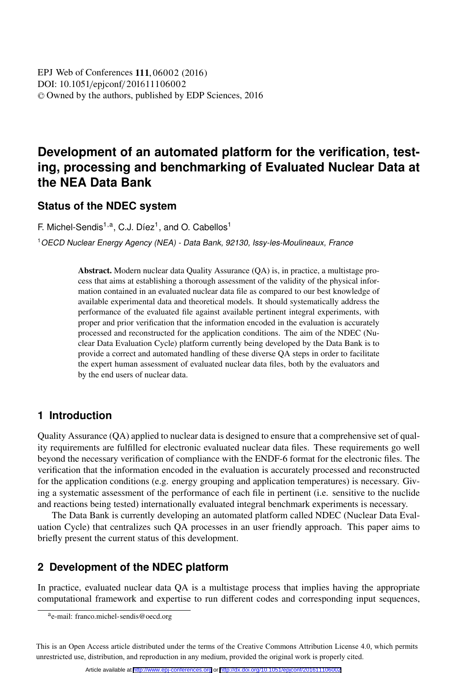[DOI: 10.1051](http://dx.doi.org/10.1051/epjconf/201611106002)/epjconf/201611106002 © Owned by the authors, published by [EDP Sciences,](http://www.edpsciences.org) 2016 EPJ Web of [Conferences](http://www.epj-conferences.org) 111, 06002 (2016)

# **Development of an automated platform for the verification, testing, processing and benchmarking of Evaluated Nuclear Data at the NEA Data Bank**

#### **Status of the NDEC system**

F. Michel-Sendis<sup>1,a</sup>, C.J. Díez<sup>1</sup>, and O. Cabellos<sup>1</sup>

<sup>1</sup> OECD Nuclear Energy Agency (NEA) - Data Bank, 92130, Issy-les-Moulineaux, France

Abstract. Modern nuclear data Quality Assurance (QA) is, in practice, a multistage process that aims at establishing a thorough assessment of the validity of the physical information contained in an evaluated nuclear data file as compared to our best knowledge of available experimental data and theoretical models. It should systematically address the performance of the evaluated file against available pertinent integral experiments, with proper and prior verification that the information encoded in the evaluation is accurately processed and reconstructed for the application conditions. The aim of the NDEC (Nuclear Data Evaluation Cycle) platform currently being developed by the Data Bank is to provide a correct and automated handling of these diverse QA steps in order to facilitate the expert human assessment of evaluated nuclear data files, both by the evaluators and by the end users of nuclear data.

#### **1 Introduction**

Quality Assurance (QA) applied to nuclear data is designed to ensure that a comprehensive set of quality requirements are fulfilled for electronic evaluated nuclear data files. These requirements go well beyond the necessary verification of compliance with the ENDF-6 format for the electronic files. The verification that the information encoded in the evaluation is accurately processed and reconstructed for the application conditions (e.g. energy grouping and application temperatures) is necessary. Giving a systematic assessment of the performance of each file in pertinent (i.e. sensitive to the nuclide and reactions being tested) internationally evaluated integral benchmark experiments is necessary.

The Data Bank is currently developing an automated platform called NDEC (Nuclear Data Evaluation Cycle) that centralizes such QA processes in an user friendly approach. This paper aims to briefly present the current status of this development.

#### **2 Development of the NDEC platform**

In practice, evaluated nuclear data QA is a multistage process that implies having the appropriate computational framework and expertise to run different codes and corresponding input sequences,

This is an Open Access article distributed under the terms of the Creative Commons Attribution License 4.0, which permits unrestricted use, distribution, and reproduction in any medium, provided the original work is properly cited.

ae-mail: franco.michel-sendis@oecd.org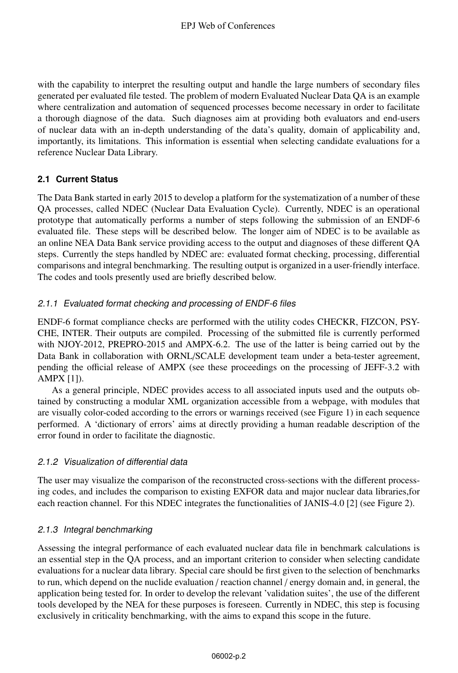with the capability to interpret the resulting output and handle the large numbers of secondary files generated per evaluated file tested. The problem of modern Evaluated Nuclear Data QA is an example where centralization and automation of sequenced processes become necessary in order to facilitate a thorough diagnose of the data. Such diagnoses aim at providing both evaluators and end-users of nuclear data with an in-depth understanding of the data's quality, domain of applicability and, importantly, its limitations. This information is essential when selecting candidate evaluations for a reference Nuclear Data Library.

#### **2.1 Current Status**

The Data Bank started in early 2015 to develop a platform for the systematization of a number of these QA processes, called NDEC (Nuclear Data Evaluation Cycle). Currently, NDEC is an operational prototype that automatically performs a number of steps following the submission of an ENDF-6 evaluated file. These steps will be described below. The longer aim of NDEC is to be available as an online NEA Data Bank service providing access to the output and diagnoses of these different QA steps. Currently the steps handled by NDEC are: evaluated format checking, processing, differential comparisons and integral benchmarking. The resulting output is organized in a user-friendly interface. The codes and tools presently used are briefly described below.

#### 2.1.1 Evaluated format checking and processing of ENDF-6 files

ENDF-6 format compliance checks are performed with the utility codes CHECKR, FIZCON, PSY-CHE, INTER. Their outputs are compiled. Processing of the submitted file is currently performed with NJOY-2012, PREPRO-2015 and AMPX-6.2. The use of the latter is being carried out by the Data Bank in collaboration with ORNL/SCALE development team under a beta-tester agreement, pending the official release of AMPX (see these proceedings on the processing of JEFF-3.2 with AMPX [1]).

As a general principle, NDEC provides access to all associated inputs used and the outputs obtained by constructing a modular XML organization accessible from a webpage, with modules that are visually color-coded according to the errors or warnings received (see Figure 1) in each sequence performed. A 'dictionary of errors' aims at directly providing a human readable description of the error found in order to facilitate the diagnostic.

#### 2.1.2 Visualization of differential data

The user may visualize the comparison of the reconstructed cross-sections with the different processing codes, and includes the comparison to existing EXFOR data and major nuclear data libraries,for each reaction channel. For this NDEC integrates the functionalities of JANIS-4.0 [2] (see Figure 2).

#### 2.1.3 Integral benchmarking

Assessing the integral performance of each evaluated nuclear data file in benchmark calculations is an essential step in the QA process, and an important criterion to consider when selecting candidate evaluations for a nuclear data library. Special care should be first given to the selection of benchmarks to run, which depend on the nuclide evaluation / reaction channel / energy domain and, in general, the application being tested for. In order to develop the relevant 'validation suites', the use of the different tools developed by the NEA for these purposes is foreseen. Currently in NDEC, this step is focusing exclusively in criticality benchmarking, with the aims to expand this scope in the future.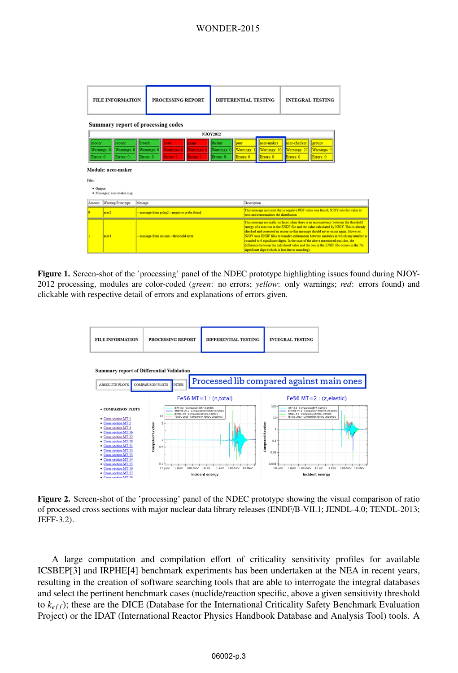#### WONDER-2015

|                                                                                                                                                                                                                                                                                                                                                                                                                                              | <b>FILE INFORMATION</b>       |                                            | PROCESSING REPORT |  | <b>DIFFERENTIAL TESTING</b> |  |                                                                                                                                                                                                                                                                                                                                                                                                                                                                                                                                                                                           | <b>INTEGRAL TESTING</b> |  |  |  |
|----------------------------------------------------------------------------------------------------------------------------------------------------------------------------------------------------------------------------------------------------------------------------------------------------------------------------------------------------------------------------------------------------------------------------------------------|-------------------------------|--------------------------------------------|-------------------|--|-----------------------------|--|-------------------------------------------------------------------------------------------------------------------------------------------------------------------------------------------------------------------------------------------------------------------------------------------------------------------------------------------------------------------------------------------------------------------------------------------------------------------------------------------------------------------------------------------------------------------------------------------|-------------------------|--|--|--|
| Summary report of processing codes                                                                                                                                                                                                                                                                                                                                                                                                           |                               |                                            |                   |  |                             |  |                                                                                                                                                                                                                                                                                                                                                                                                                                                                                                                                                                                           |                         |  |  |  |
| <b>NJOY2012</b>                                                                                                                                                                                                                                                                                                                                                                                                                              |                               |                                            |                   |  |                             |  |                                                                                                                                                                                                                                                                                                                                                                                                                                                                                                                                                                                           |                         |  |  |  |
| moder<br>broadr<br>acer-maker<br>scer-checker<br>thermr<br>purr<br>reconr<br>eatr<br>groupr<br>aspr<br>Warnings: 10<br>Warnings:<br>Warnings: 0<br>Warnings: 0<br>Warnings: 0<br>Warnings: 5<br>Warnings: 0<br>Warnings:<br>Warnings:<br>Warnings: 27<br>Errors: 0<br>Errors: 0<br>Errors: 0<br>Errors: 0<br>Errors: 0<br>Errors: 0<br>Errors: 0<br>Errors: 0<br>Errors: 1<br>Errors: 1<br>Module: acer-maker<br>Files:<br>$\bullet$ Output: |                               |                                            |                   |  |                             |  |                                                                                                                                                                                                                                                                                                                                                                                                                                                                                                                                                                                           |                         |  |  |  |
| · Messages: acer-maker.msg                                                                                                                                                                                                                                                                                                                                                                                                                   |                               |                                            |                   |  |                             |  |                                                                                                                                                                                                                                                                                                                                                                                                                                                                                                                                                                                           |                         |  |  |  |
| Amount                                                                                                                                                                                                                                                                                                                                                                                                                                       | Warning/Error type<br>Message |                                            |                   |  |                             |  | Description                                                                                                                                                                                                                                                                                                                                                                                                                                                                                                                                                                               |                         |  |  |  |
|                                                                                                                                                                                                                                                                                                                                                                                                                                              | accer2                        | message from ptleg2---negative probs found |                   |  |                             |  | This message indicates that a negative PDF value was found; NJOY sets the value to<br>zero and renormalizes the distribution                                                                                                                                                                                                                                                                                                                                                                                                                                                              |                         |  |  |  |
|                                                                                                                                                                                                                                                                                                                                                                                                                                              | acer4                         | message from unionx---threshold error-     |                   |  |                             |  | This message normally surfaces when there is an inconsistency between the threshold<br>energy of a reaction in the ENDF file and the value calculated by NJOY. This is alrea<br>checked and corrected in reconr so this message should never occur again. However,<br>NJOY uses ENDF files to transfer information between modules in which any numbe<br>rounded to 6 significant digits. In the case of the above mentioned nuclides, the<br>difference between the calculated value and the one in the ENDF file occurs in the 7t<br>significant digit (which is lost due to rounding). |                         |  |  |  |

Figure 1. Screen-shot of the 'processing' panel of the NDEC prototype highlighting issues found during NJOY-2012 processing, modules are color-coded (*green*: no errors; *yellow*: only warnings; *red*: errors found) and clickable with respective detail of errors and explanations of errors given.



Figure 2. Screen-shot of the 'processing' panel of the NDEC prototype showing the visual comparison of ratio of processed cross sections with major nuclear data library releases (ENDF/B-VII.1; JENDL-4.0; TENDL-2013; JEFF-3.2).

A large computation and compilation effort of criticality sensitivity profiles for available ICSBEP[3] and IRPHE[4] benchmark experiments has been undertaken at the NEA in recent years, resulting in the creation of software searching tools that are able to interrogate the integral databases and select the pertinent benchmark cases (nuclide/reaction specific, above a given sensitivity threshold to  $k_{eff}$ ); these are the DICE (Database for the International Criticality Safety Benchmark Evaluation Project) or the IDAT (International Reactor Physics Handbook Database and Analysis Tool) tools. A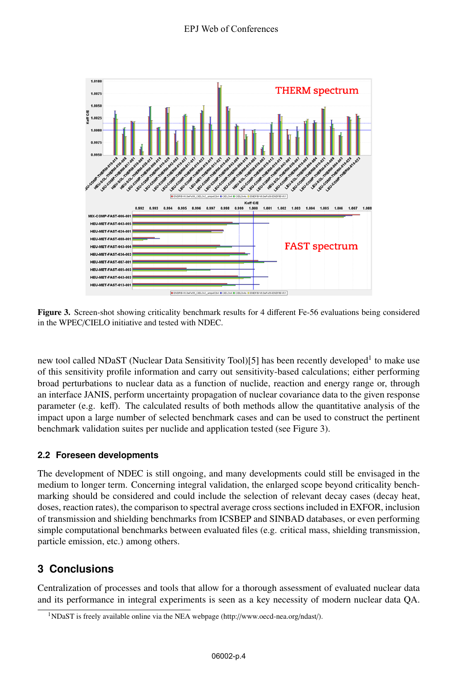

Figure 3. Screen-shot showing criticality benchmark results for 4 different Fe-56 evaluations being considered in the WPEC/CIELO initiative and tested with NDEC.

new tool called NDaST (Nuclear Data Sensitivity Tool)[5] has been recently developed<sup>1</sup> to make use of this sensitivity profile information and carry out sensitivity-based calculations; either performing broad perturbations to nuclear data as a function of nuclide, reaction and energy range or, through an interface JANIS, perform uncertainty propagation of nuclear covariance data to the given response parameter (e.g. keff). The calculated results of both methods allow the quantitative analysis of the impact upon a large number of selected benchmark cases and can be used to construct the pertinent benchmark validation suites per nuclide and application tested (see Figure 3).

#### **2.2 Foreseen developments**

The development of NDEC is still ongoing, and many developments could still be envisaged in the medium to longer term. Concerning integral validation, the enlarged scope beyond criticality benchmarking should be considered and could include the selection of relevant decay cases (decay heat, doses, reaction rates), the comparison to spectral average cross sections included in EXFOR, inclusion of transmission and shielding benchmarks from ICSBEP and SINBAD databases, or even performing simple computational benchmarks between evaluated files (e.g. critical mass, shielding transmission, particle emission, etc.) among others.

## **3 Conclusions**

Centralization of processes and tools that allow for a thorough assessment of evaluated nuclear data and its performance in integral experiments is seen as a key necessity of modern nuclear data QA.

 $1\text{NDaST}$  is freely available online via the NEA webpage (http://www.oecd-nea.org/ndast/).